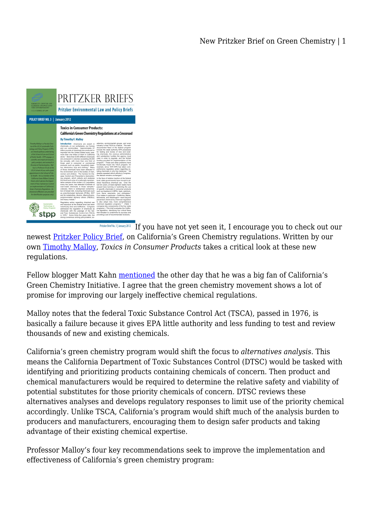

[I](http://cdn.law.ucla.edu/SiteCollectionDocuments/Centers%20and%20Programs/Emmett%20Center%20on%20Climate%20Change%20and%20the%20Environment/Pritzker_03_Toxics_in_Consumer_Products.pdf)f you have not yet seen it, I encourage you to check out our Pritzker Brief No. 3 | January 2012

newest [Pritzker Policy Brief](http://law.ucla.edu/centers-programs/emmett-center-on-climate-change-and-the-environment/Pages/pritzker_briefs.aspx), on California's Green Chemistry regulations. Written by our own [Timothy Malloy,](http://legalplanet.wordpress.com/author/tfmalloy/) *Toxics in Consumer Products* takes a critical look at these new regulations.

Fellow blogger Matt Kahn [mentioned](http://legalplanet.wordpress.com/2012/02/14/encouraging-green-supply-chains/) the other day that he was a big fan of California's Green Chemistry Initiative. I agree that the green chemistry movement shows a lot of promise for improving our largely ineffective chemical regulations.

Malloy notes that the federal Toxic Substance Control Act (TSCA), passed in 1976, is basically a failure because it gives EPA little authority and less funding to test and review thousands of new and existing chemicals.

California's green chemistry program would shift the focus to *alternatives analysis*. This means the California Department of Toxic Substances Control (DTSC) would be tasked with identifying and prioritizing products containing chemicals of concern. Then product and chemical manufacturers would be required to determine the relative safety and viability of potential substitutes for those priority chemicals of concern. DTSC reviews these alternatives analyses and develops regulatory responses to limit use of the priority chemical accordingly. Unlike TSCA, California's program would shift much of the analysis burden to producers and manufacturers, encouraging them to design safer products and taking advantage of their existing chemical expertise.

Professor Malloy's four key recommendations seek to improve the implementation and effectiveness of California's green chemistry program: